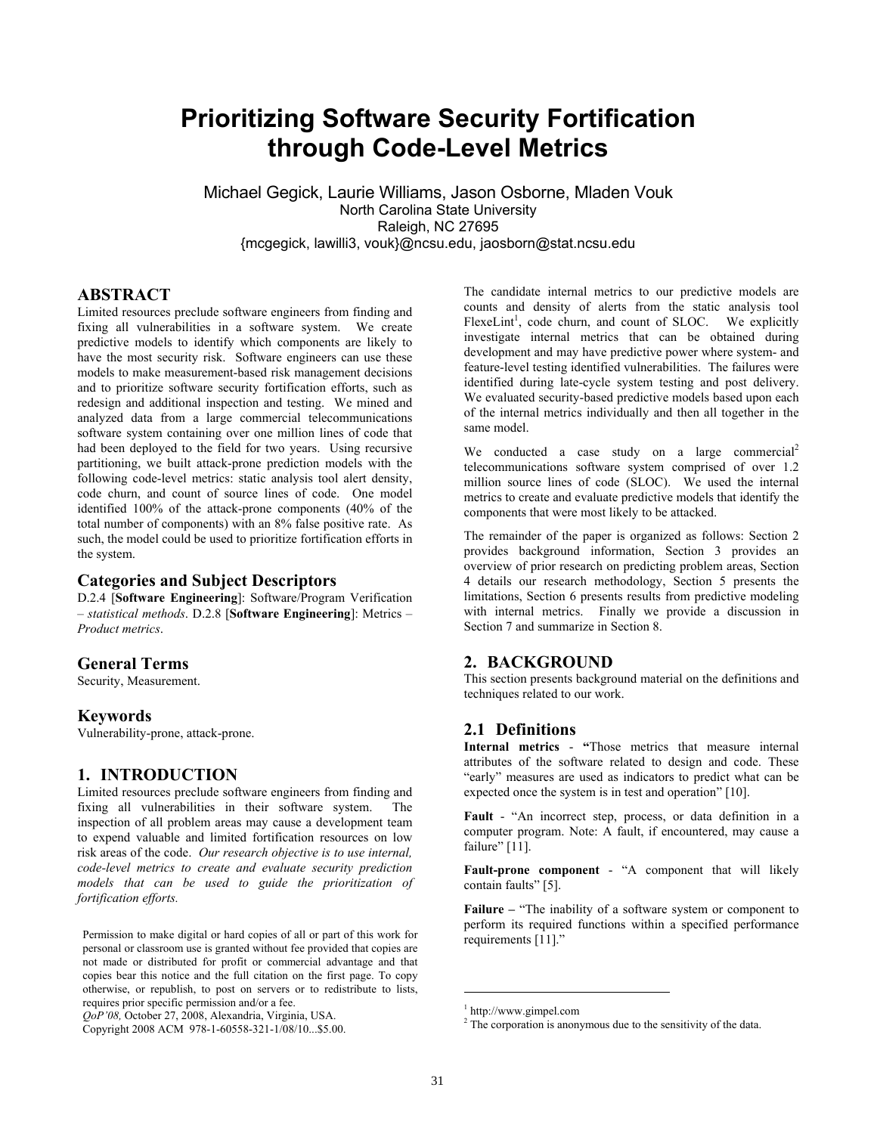# **Prioritizing Software Security Fortification through Code-Level Metrics**

Michael Gegick, Laurie Williams, Jason Osborne, Mladen Vouk North Carolina State University Raleigh, NC 27695 {mcgegick, lawilli3, vouk}@ncsu.edu, jaosborn@stat.ncsu.edu

### **ABSTRACT**

Limited resources preclude software engineers from finding and fixing all vulnerabilities in a software system. We create predictive models to identify which components are likely to have the most security risk. Software engineers can use these models to make measurement-based risk management decisions and to prioritize software security fortification efforts, such as redesign and additional inspection and testing. We mined and analyzed data from a large commercial telecommunications software system containing over one million lines of code that had been deployed to the field for two years. Using recursive partitioning, we built attack-prone prediction models with the following code-level metrics: static analysis tool alert density, code churn, and count of source lines of code. One model identified 100% of the attack-prone components (40% of the total number of components) with an 8% false positive rate. As such, the model could be used to prioritize fortification efforts in the system.

#### **Categories and Subject Descriptors**

D.2.4 [**Software Engineering**]: Software/Program Verification – *statistical methods*. D.2.8 [**Software Engineering**]: Metrics – *Product metrics*.

#### **General Terms**

Security, Measurement.

#### **Keywords**

Vulnerability-prone, attack-prone.

#### **1. INTRODUCTION**

Limited resources preclude software engineers from finding and fixing all vulnerabilities in their software system. The inspection of all problem areas may cause a development team to expend valuable and limited fortification resources on low risk areas of the code. *Our research objective is to use internal, code-level metrics to create and evaluate security prediction models that can be used to guide the prioritization of fortification efforts.* 

Copyright 2008 ACM 978-1-60558-321-1/08/10...\$5.00.

The candidate internal metrics to our predictive models are counts and density of alerts from the static analysis tool FlexeLint<sup>1</sup>, code churn, and count of SLOC. We explicitly investigate internal metrics that can be obtained during development and may have predictive power where system- and feature-level testing identified vulnerabilities. The failures were identified during late-cycle system testing and post delivery. We evaluated security-based predictive models based upon each of the internal metrics individually and then all together in the same model.

We conducted a case study on a large commercial<sup>2</sup> telecommunications software system comprised of over 1.2 million source lines of code (SLOC). We used the internal metrics to create and evaluate predictive models that identify the components that were most likely to be attacked.

The remainder of the paper is organized as follows: Section 2 provides background information, Section 3 provides an overview of prior research on predicting problem areas, Section 4 details our research methodology, Section 5 presents the limitations, Section 6 presents results from predictive modeling with internal metrics. Finally we provide a discussion in Section 7 and summarize in Section 8.

#### **2. BACKGROUND**

This section presents background material on the definitions and techniques related to our work.

#### **2.1 Definitions**

**Internal metrics** - **"**Those metrics that measure internal attributes of the software related to design and code. These "early" measures are used as indicators to predict what can be expected once the system is in test and operation" [10].

**Fault** - "An incorrect step, process, or data definition in a computer program. Note: A fault, if encountered, may cause a failure" [11].

**Fault-prone component** - "A component that will likely contain faults" [5].

**Failure** – "The inability of a software system or component to perform its required functions within a specified performance requirements [11]."

l

Permission to make digital or hard copies of all or part of this work for personal or classroom use is granted without fee provided that copies are not made or distributed for profit or commercial advantage and that copies bear this notice and the full citation on the first page. To copy otherwise, or republish, to post on servers or to redistribute to lists, requires prior specific permission and/or a fee.

*QoP'08,* October 27, 2008, Alexandria, Virginia, USA.

<sup>&</sup>lt;sup>1</sup> http://www.gimpel.com

 $2^2$  The corporation is anonymous due to the sensitivity of the data.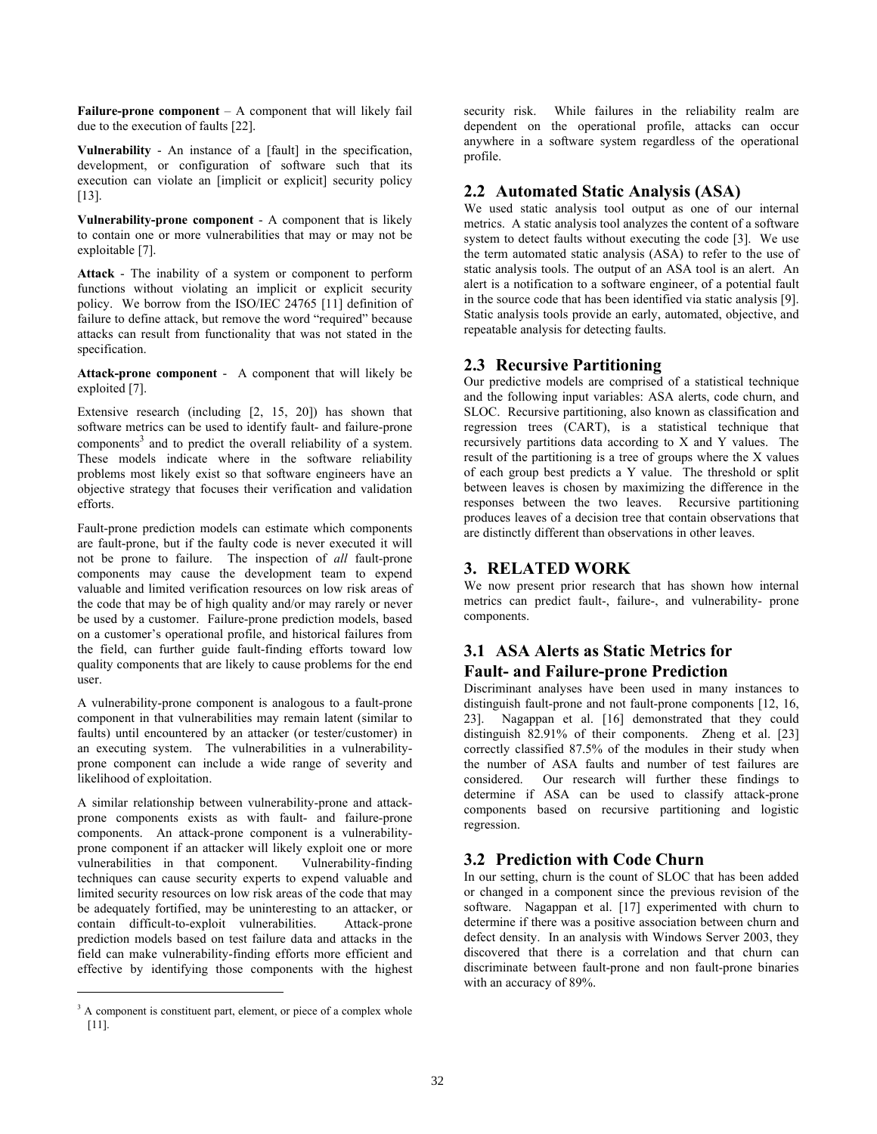**Failure-prone component** – A component that will likely fail due to the execution of faults [22].

**Vulnerability** - An instance of a [fault] in the specification, development, or configuration of software such that its execution can violate an [implicit or explicit] security policy [13].

**Vulnerability-prone component** - A component that is likely to contain one or more vulnerabilities that may or may not be exploitable [7].

**Attack** - The inability of a system or component to perform functions without violating an implicit or explicit security policy. We borrow from the ISO/IEC 24765 [11] definition of failure to define attack, but remove the word "required" because attacks can result from functionality that was not stated in the specification.

**Attack-prone component** - A component that will likely be exploited [7].

Extensive research (including [2, 15, 20]) has shown that software metrics can be used to identify fault- and failure-prone  $components<sup>3</sup>$  and to predict the overall reliability of a system. These models indicate where in the software reliability problems most likely exist so that software engineers have an objective strategy that focuses their verification and validation efforts.

Fault-prone prediction models can estimate which components are fault-prone, but if the faulty code is never executed it will not be prone to failure. The inspection of *all* fault-prone components may cause the development team to expend valuable and limited verification resources on low risk areas of the code that may be of high quality and/or may rarely or never be used by a customer. Failure-prone prediction models, based on a customer's operational profile, and historical failures from the field, can further guide fault-finding efforts toward low quality components that are likely to cause problems for the end user.

A vulnerability-prone component is analogous to a fault-prone component in that vulnerabilities may remain latent (similar to faults) until encountered by an attacker (or tester/customer) in an executing system. The vulnerabilities in a vulnerabilityprone component can include a wide range of severity and likelihood of exploitation.

A similar relationship between vulnerability-prone and attackprone components exists as with fault- and failure-prone components. An attack-prone component is a vulnerabilityprone component if an attacker will likely exploit one or more vulnerabilities in that component. Vulnerability-finding techniques can cause security experts to expend valuable and limited security resources on low risk areas of the code that may be adequately fortified, may be uninteresting to an attacker, or contain difficult-to-exploit vulnerabilities. Attack-prone prediction models based on test failure data and attacks in the field can make vulnerability-finding efforts more efficient and effective by identifying those components with the highest

l

security risk. While failures in the reliability realm are dependent on the operational profile, attacks can occur anywhere in a software system regardless of the operational profile.

### **2.2 Automated Static Analysis (ASA)**

We used static analysis tool output as one of our internal metrics. A static analysis tool analyzes the content of a software system to detect faults without executing the code [3]. We use the term automated static analysis (ASA) to refer to the use of static analysis tools. The output of an ASA tool is an alert. An alert is a notification to a software engineer, of a potential fault in the source code that has been identified via static analysis [9]. Static analysis tools provide an early, automated, objective, and repeatable analysis for detecting faults.

### **2.3 Recursive Partitioning**

Our predictive models are comprised of a statistical technique and the following input variables: ASA alerts, code churn, and SLOC. Recursive partitioning, also known as classification and regression trees (CART), is a statistical technique that recursively partitions data according to X and Y values. The result of the partitioning is a tree of groups where the X values of each group best predicts a Y value. The threshold or split between leaves is chosen by maximizing the difference in the responses between the two leaves. Recursive partitioning produces leaves of a decision tree that contain observations that are distinctly different than observations in other leaves.

### **3. RELATED WORK**

We now present prior research that has shown how internal metrics can predict fault-, failure-, and vulnerability- prone components.

# **3.1 ASA Alerts as Static Metrics for Fault- and Failure-prone Prediction**

Discriminant analyses have been used in many instances to distinguish fault-prone and not fault-prone components [12, 16, 23]. Nagappan et al. [16] demonstrated that they could distinguish 82.91% of their components. Zheng et al. [23] correctly classified 87.5% of the modules in their study when the number of ASA faults and number of test failures are considered. Our research will further these findings to determine if ASA can be used to classify attack-prone components based on recursive partitioning and logistic regression.

# **3.2 Prediction with Code Churn**

In our setting, churn is the count of SLOC that has been added or changed in a component since the previous revision of the software. Nagappan et al. [17] experimented with churn to determine if there was a positive association between churn and defect density. In an analysis with Windows Server 2003, they discovered that there is a correlation and that churn can discriminate between fault-prone and non fault-prone binaries with an accuracy of 89%.

<sup>&</sup>lt;sup>3</sup> A component is constituent part, element, or piece of a complex whole [11].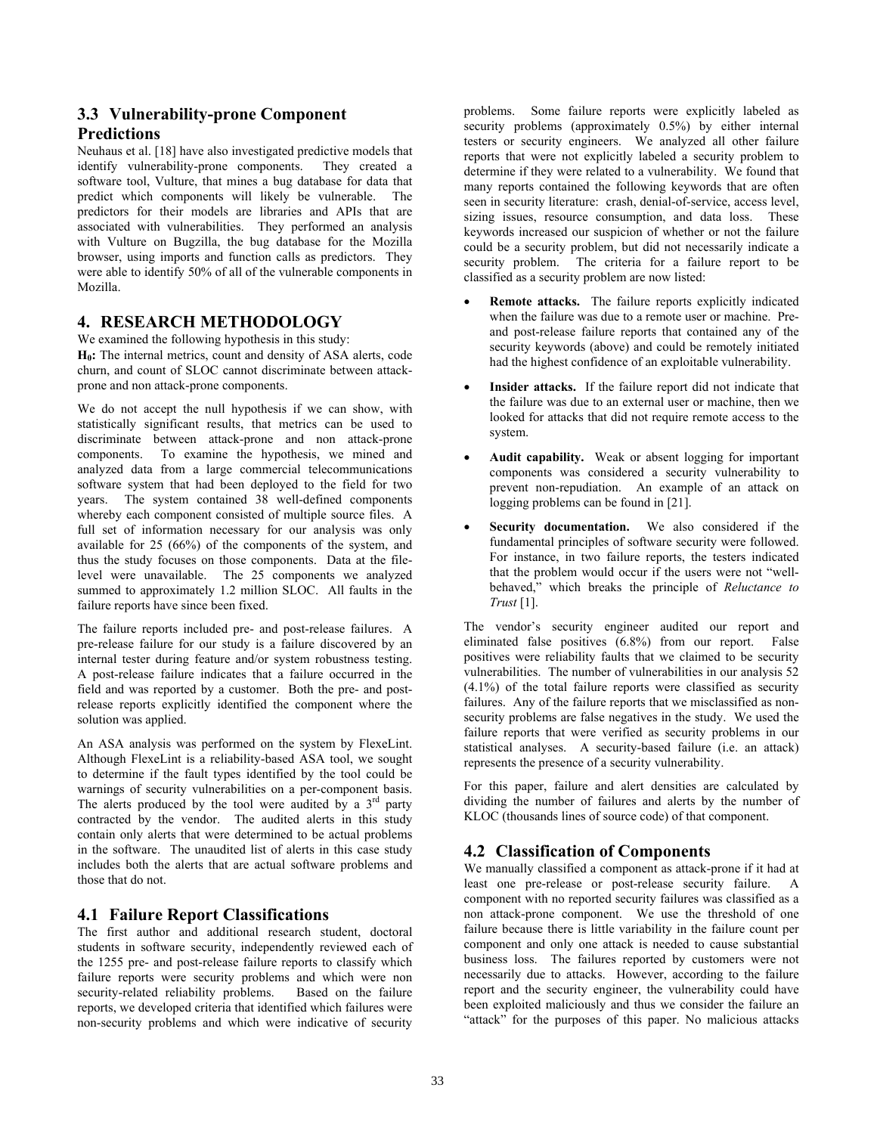# **3.3 Vulnerability-prone Component Predictions**

Neuhaus et al. [18] have also investigated predictive models that identify vulnerability-prone components. They created a software tool, Vulture, that mines a bug database for data that predict which components will likely be vulnerable. The predictors for their models are libraries and APIs that are associated with vulnerabilities. They performed an analysis with Vulture on Bugzilla, the bug database for the Mozilla browser, using imports and function calls as predictors. They were able to identify 50% of all of the vulnerable components in Mozilla.

### **4. RESEARCH METHODOLOGY**

We examined the following hypothesis in this study: **H0:** The internal metrics, count and density of ASA alerts, code churn, and count of SLOC cannot discriminate between attackprone and non attack-prone components.

We do not accept the null hypothesis if we can show, with statistically significant results, that metrics can be used to discriminate between attack-prone and non attack-prone components. To examine the hypothesis, we mined and analyzed data from a large commercial telecommunications software system that had been deployed to the field for two years. The system contained 38 well-defined components whereby each component consisted of multiple source files. A full set of information necessary for our analysis was only available for 25 (66%) of the components of the system, and thus the study focuses on those components. Data at the filelevel were unavailable. The 25 components we analyzed summed to approximately 1.2 million SLOC. All faults in the failure reports have since been fixed.

The failure reports included pre- and post-release failures. A pre-release failure for our study is a failure discovered by an internal tester during feature and/or system robustness testing. A post-release failure indicates that a failure occurred in the field and was reported by a customer. Both the pre- and postrelease reports explicitly identified the component where the solution was applied.

An ASA analysis was performed on the system by FlexeLint. Although FlexeLint is a reliability-based ASA tool, we sought to determine if the fault types identified by the tool could be warnings of security vulnerabilities on a per-component basis. The alerts produced by the tool were audited by a  $3<sup>rd</sup>$  party contracted by the vendor. The audited alerts in this study contain only alerts that were determined to be actual problems in the software. The unaudited list of alerts in this case study includes both the alerts that are actual software problems and those that do not.

# **4.1 Failure Report Classifications**

The first author and additional research student, doctoral students in software security, independently reviewed each of the 1255 pre- and post-release failure reports to classify which failure reports were security problems and which were non security-related reliability problems. Based on the failure security-related reliability problems. reports, we developed criteria that identified which failures were non-security problems and which were indicative of security

problems. Some failure reports were explicitly labeled as security problems (approximately 0.5%) by either internal testers or security engineers. We analyzed all other failure reports that were not explicitly labeled a security problem to determine if they were related to a vulnerability. We found that many reports contained the following keywords that are often seen in security literature: crash, denial-of-service, access level, sizing issues, resource consumption, and data loss. These keywords increased our suspicion of whether or not the failure could be a security problem, but did not necessarily indicate a security problem. The criteria for a failure report to be classified as a security problem are now listed:

- **Remote attacks.** The failure reports explicitly indicated when the failure was due to a remote user or machine. Preand post-release failure reports that contained any of the security keywords (above) and could be remotely initiated had the highest confidence of an exploitable vulnerability.
- **Insider attacks.** If the failure report did not indicate that the failure was due to an external user or machine, then we looked for attacks that did not require remote access to the system.
- **Audit capability.** Weak or absent logging for important components was considered a security vulnerability to prevent non-repudiation. An example of an attack on logging problems can be found in [21].
- Security documentation. We also considered if the fundamental principles of software security were followed. For instance, in two failure reports, the testers indicated that the problem would occur if the users were not "wellbehaved," which breaks the principle of *Reluctance to Trust* [1].

The vendor's security engineer audited our report and eliminated false positives (6.8%) from our report. False positives were reliability faults that we claimed to be security vulnerabilities. The number of vulnerabilities in our analysis 52 (4.1%) of the total failure reports were classified as security failures. Any of the failure reports that we misclassified as nonsecurity problems are false negatives in the study. We used the failure reports that were verified as security problems in our statistical analyses. A security-based failure (i.e. an attack) represents the presence of a security vulnerability.

For this paper, failure and alert densities are calculated by dividing the number of failures and alerts by the number of KLOC (thousands lines of source code) of that component.

# **4.2 Classification of Components**

We manually classified a component as attack-prone if it had at least one pre-release or post-release security failure. A component with no reported security failures was classified as a non attack-prone component. We use the threshold of one failure because there is little variability in the failure count per component and only one attack is needed to cause substantial business loss. The failures reported by customers were not necessarily due to attacks. However, according to the failure report and the security engineer, the vulnerability could have been exploited maliciously and thus we consider the failure an "attack" for the purposes of this paper. No malicious attacks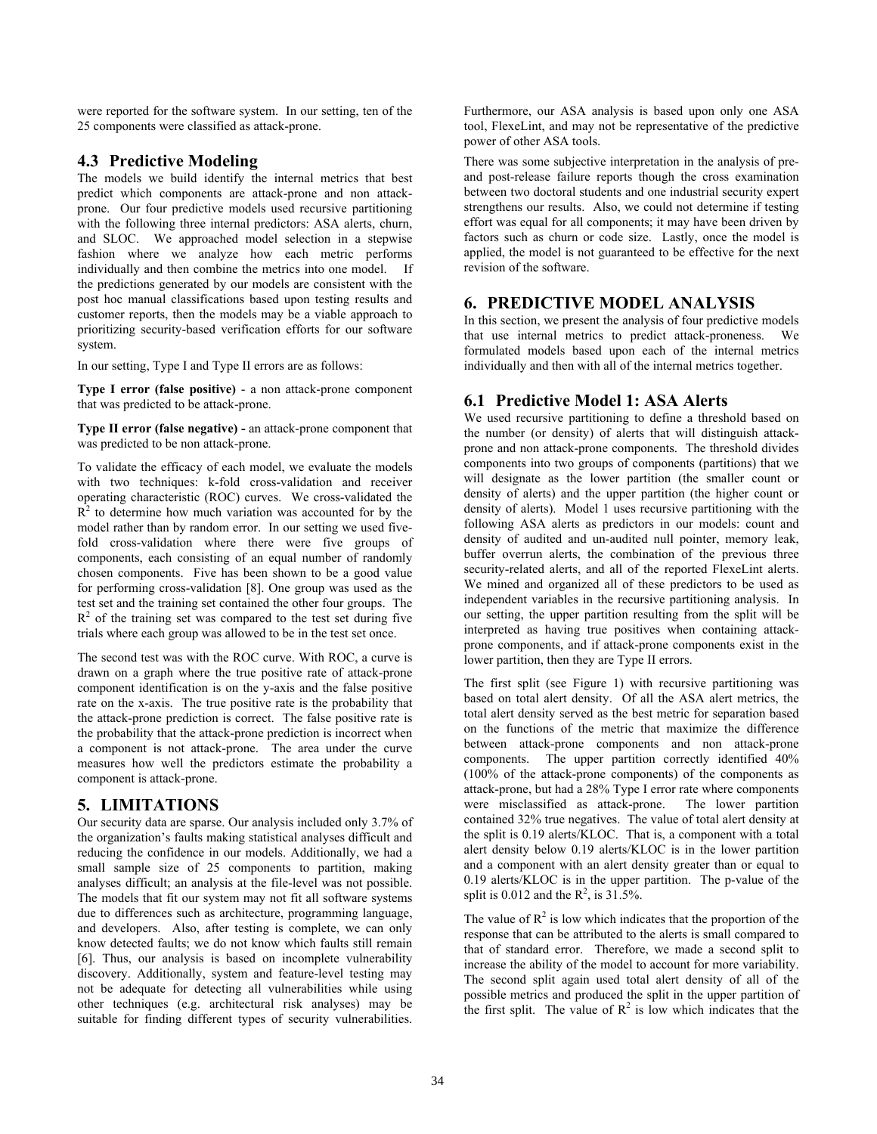were reported for the software system. In our setting, ten of the 25 components were classified as attack-prone.

### **4.3 Predictive Modeling**

The models we build identify the internal metrics that best predict which components are attack-prone and non attackprone. Our four predictive models used recursive partitioning with the following three internal predictors: ASA alerts, churn, and SLOC. We approached model selection in a stepwise fashion where we analyze how each metric performs individually and then combine the metrics into one model. If the predictions generated by our models are consistent with the post hoc manual classifications based upon testing results and customer reports, then the models may be a viable approach to prioritizing security-based verification efforts for our software system.

In our setting, Type I and Type II errors are as follows:

**Type I error (false positive)** - a non attack-prone component that was predicted to be attack-prone.

**Type II error (false negative) -** an attack-prone component that was predicted to be non attack-prone.

To validate the efficacy of each model, we evaluate the models with two techniques: k-fold cross-validation and receiver operating characteristic (ROC) curves. We cross-validated the  $\mathbb{R}^2$  to determine how much variation was accounted for by the model rather than by random error. In our setting we used fivefold cross-validation where there were five groups of components, each consisting of an equal number of randomly chosen components. Five has been shown to be a good value for performing cross-validation [8]. One group was used as the test set and the training set contained the other four groups. The  $R<sup>2</sup>$  of the training set was compared to the test set during five trials where each group was allowed to be in the test set once.

The second test was with the ROC curve. With ROC, a curve is drawn on a graph where the true positive rate of attack-prone component identification is on the y-axis and the false positive rate on the x-axis. The true positive rate is the probability that the attack-prone prediction is correct. The false positive rate is the probability that the attack-prone prediction is incorrect when a component is not attack-prone. The area under the curve measures how well the predictors estimate the probability a component is attack-prone.

# **5. LIMITATIONS**

Our security data are sparse. Our analysis included only 3.7% of the organization's faults making statistical analyses difficult and reducing the confidence in our models. Additionally, we had a small sample size of 25 components to partition, making analyses difficult; an analysis at the file-level was not possible. The models that fit our system may not fit all software systems due to differences such as architecture, programming language, and developers. Also, after testing is complete, we can only know detected faults; we do not know which faults still remain [6]. Thus, our analysis is based on incomplete vulnerability discovery. Additionally, system and feature-level testing may not be adequate for detecting all vulnerabilities while using other techniques (e.g. architectural risk analyses) may be suitable for finding different types of security vulnerabilities.

Furthermore, our ASA analysis is based upon only one ASA tool, FlexeLint, and may not be representative of the predictive power of other ASA tools.

There was some subjective interpretation in the analysis of preand post-release failure reports though the cross examination between two doctoral students and one industrial security expert strengthens our results. Also, we could not determine if testing effort was equal for all components; it may have been driven by factors such as churn or code size. Lastly, once the model is applied, the model is not guaranteed to be effective for the next revision of the software.

### **6. PREDICTIVE MODEL ANALYSIS**

In this section, we present the analysis of four predictive models that use internal metrics to predict attack-proneness. We formulated models based upon each of the internal metrics individually and then with all of the internal metrics together.

# **6.1 Predictive Model 1: ASA Alerts**

We used recursive partitioning to define a threshold based on the number (or density) of alerts that will distinguish attackprone and non attack-prone components. The threshold divides components into two groups of components (partitions) that we will designate as the lower partition (the smaller count or density of alerts) and the upper partition (the higher count or density of alerts). Model 1 uses recursive partitioning with the following ASA alerts as predictors in our models: count and density of audited and un-audited null pointer, memory leak, buffer overrun alerts, the combination of the previous three security-related alerts, and all of the reported FlexeLint alerts. We mined and organized all of these predictors to be used as independent variables in the recursive partitioning analysis. In our setting, the upper partition resulting from the split will be interpreted as having true positives when containing attackprone components, and if attack-prone components exist in the lower partition, then they are Type II errors.

The first split (see Figure 1) with recursive partitioning was based on total alert density. Of all the ASA alert metrics, the total alert density served as the best metric for separation based on the functions of the metric that maximize the difference between attack-prone components and non attack-prone components. The upper partition correctly identified 40% (100% of the attack-prone components) of the components as attack-prone, but had a 28% Type I error rate where components were misclassified as attack-prone. The lower partition contained 32% true negatives. The value of total alert density at the split is 0.19 alerts/KLOC. That is, a component with a total alert density below 0.19 alerts/KLOC is in the lower partition and a component with an alert density greater than or equal to 0.19 alerts/KLOC is in the upper partition. The p-value of the split is 0.012 and the  $\mathbb{R}^2$ , is 31.5%.

The value of  $R^2$  is low which indicates that the proportion of the response that can be attributed to the alerts is small compared to that of standard error. Therefore, we made a second split to increase the ability of the model to account for more variability. The second split again used total alert density of all of the possible metrics and produced the split in the upper partition of the first split. The value of  $\mathbb{R}^2$  is low which indicates that the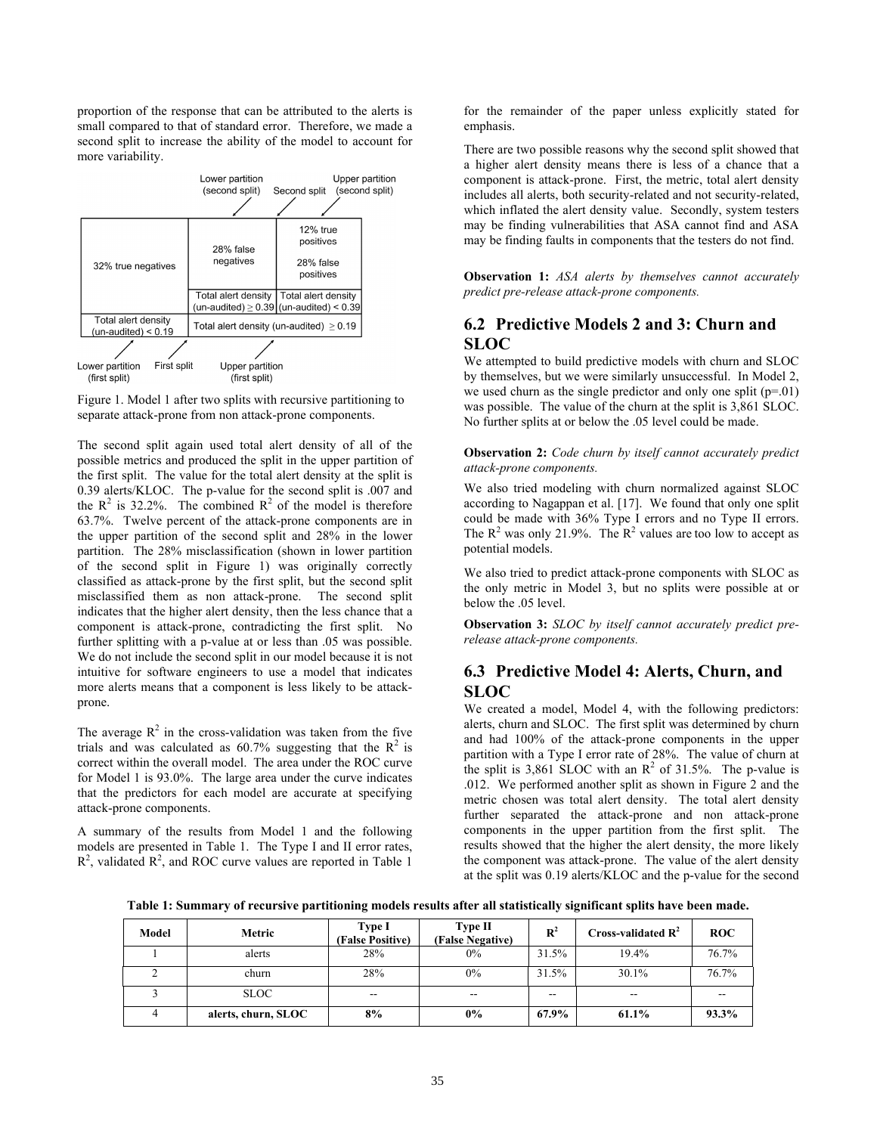proportion of the response that can be attributed to the alerts is small compared to that of standard error. Therefore, we made a second split to increase the ability of the model to account for more variability.





The second split again used total alert density of all of the possible metrics and produced the split in the upper partition of the first split. The value for the total alert density at the split is 0.39 alerts/KLOC. The p-value for the second split is .007 and the  $R^2$  is 32.2%. The combined  $R^2$  of the model is therefore 63.7%. Twelve percent of the attack-prone components are in the upper partition of the second split and 28% in the lower partition. The 28% misclassification (shown in lower partition of the second split in Figure 1) was originally correctly classified as attack-prone by the first split, but the second split misclassified them as non attack-prone. The second split indicates that the higher alert density, then the less chance that a component is attack-prone, contradicting the first split. No further splitting with a p-value at or less than .05 was possible. We do not include the second split in our model because it is not intuitive for software engineers to use a model that indicates more alerts means that a component is less likely to be attackprone.

The average  $R^2$  in the cross-validation was taken from the five trials and was calculated as  $60.7\%$  suggesting that the  $R^2$  is correct within the overall model. The area under the ROC curve for Model 1 is 93.0%. The large area under the curve indicates that the predictors for each model are accurate at specifying attack-prone components.

A summary of the results from Model 1 and the following models are presented in Table 1. The Type I and II error rates,  $R<sup>2</sup>$ , validated  $R<sup>2</sup>$ , and ROC curve values are reported in Table 1 for the remainder of the paper unless explicitly stated for emphasis.

There are two possible reasons why the second split showed that a higher alert density means there is less of a chance that a component is attack-prone. First, the metric, total alert density includes all alerts, both security-related and not security-related, which inflated the alert density value. Secondly, system testers may be finding vulnerabilities that ASA cannot find and ASA may be finding faults in components that the testers do not find.

**Observation 1:** *ASA alerts by themselves cannot accurately predict pre-release attack-prone components.*

### **6.2 Predictive Models 2 and 3: Churn and SLOC**

We attempted to build predictive models with churn and SLOC by themselves, but we were similarly unsuccessful. In Model 2, we used churn as the single predictor and only one split (p=.01) was possible. The value of the churn at the split is 3,861 SLOC. No further splits at or below the .05 level could be made.

**Observation 2:** *Code churn by itself cannot accurately predict attack-prone components.* 

We also tried modeling with churn normalized against SLOC according to Nagappan et al. [17]. We found that only one split could be made with 36% Type I errors and no Type II errors. The  $R^2$  was only 21.9%. The  $R^2$  values are too low to accept as potential models.

We also tried to predict attack-prone components with SLOC as the only metric in Model 3, but no splits were possible at or below the .05 level.

**Observation 3:** *SLOC by itself cannot accurately predict prerelease attack-prone components.*

### **6.3 Predictive Model 4: Alerts, Churn, and SLOC**

We created a model, Model 4, with the following predictors: alerts, churn and SLOC. The first split was determined by churn and had 100% of the attack-prone components in the upper partition with a Type I error rate of 28%. The value of churn at the split is  $3,861$  SLOC with an  $R^2$  of  $31.5\%$ . The p-value is .012. We performed another split as shown in Figure 2 and the metric chosen was total alert density. The total alert density further separated the attack-prone and non attack-prone components in the upper partition from the first split. The results showed that the higher the alert density, the more likely the component was attack-prone. The value of the alert density at the split was 0.19 alerts/KLOC and the p-value for the second

**Table 1: Summary of recursive partitioning models results after all statistically significant splits have been made.** 

| Model | Metric              | Type I<br>(False Positive) | <b>Type II</b><br>(False Negative) | $\mathbb{R}^2$ | Cross-validated $\mathbb{R}^2$ | <b>ROC</b> |
|-------|---------------------|----------------------------|------------------------------------|----------------|--------------------------------|------------|
|       | alerts              | 28%                        | $0\%$                              | 31.5%          | 19.4%                          | 76.7%      |
|       | churn               | 28%                        | $0\%$                              | 31.5%          | 30.1%                          | 76.7%      |
|       | <b>SLOC</b>         | $-$                        | --                                 | --             | --                             |            |
| 4     | alerts, churn, SLOC | 8%                         | $0\%$                              | 67.9%          | 61.1%                          | 93.3%      |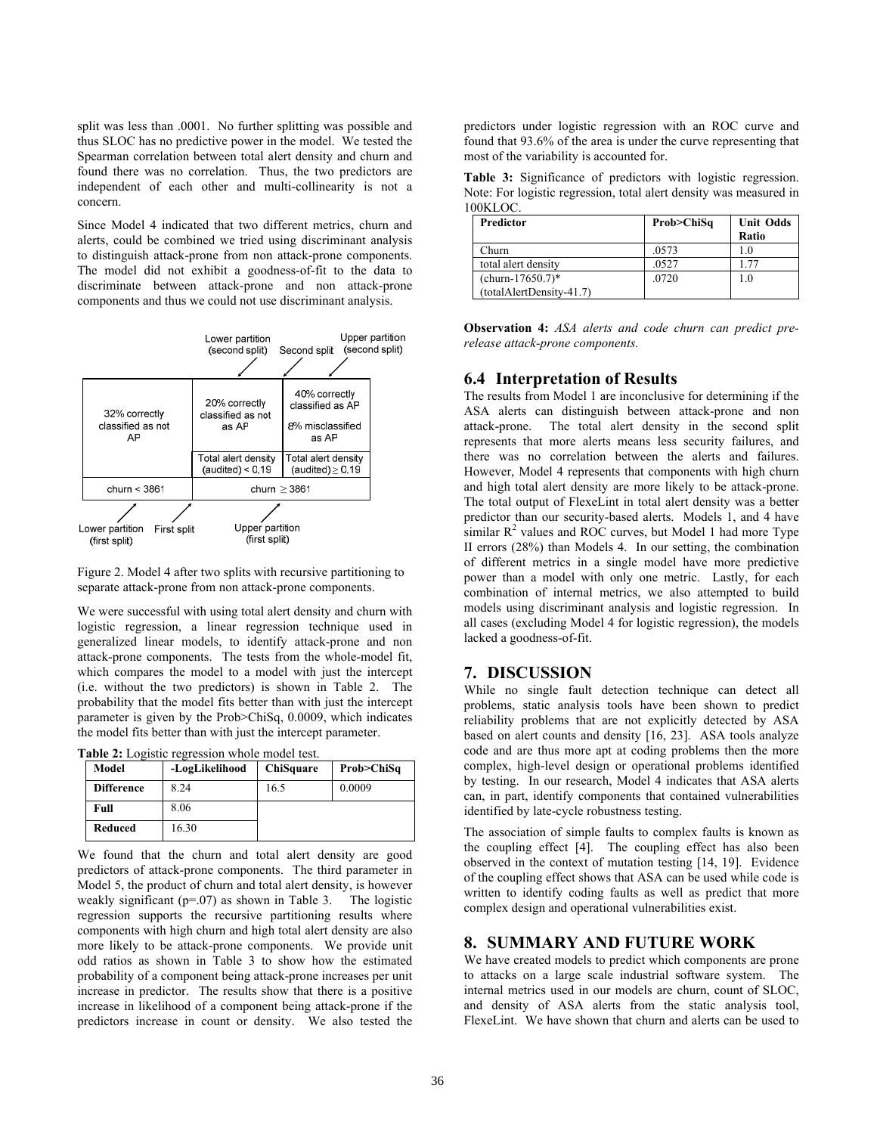split was less than .0001. No further splitting was possible and thus SLOC has no predictive power in the model. We tested the Spearman correlation between total alert density and churn and found there was no correlation. Thus, the two predictors are independent of each other and multi-collinearity is not a concern.

Since Model 4 indicated that two different metrics, churn and alerts, could be combined we tried using discriminant analysis to distinguish attack-prone from non attack-prone components. The model did not exhibit a goodness-of-fit to the data to discriminate between attack-prone and non attack-prone components and thus we could not use discriminant analysis.



Figure 2. Model 4 after two splits with recursive partitioning to separate attack-prone from non attack-prone components.

We were successful with using total alert density and churn with logistic regression, a linear regression technique used in generalized linear models, to identify attack-prone and non attack-prone components. The tests from the whole-model fit, which compares the model to a model with just the intercept (i.e. without the two predictors) is shown in Table 2. The probability that the model fits better than with just the intercept parameter is given by the Prob>ChiSq, 0.0009, which indicates the model fits better than with just the intercept parameter.

**Table 2:** Logistic regression whole model test.

| Model             | -LogLikelihood | <b>ChiSquare</b> | Prob>ChiSq |
|-------------------|----------------|------------------|------------|
| <b>Difference</b> | 8.24           | 16.5             | 0.0009     |
| Full              | 8.06           |                  |            |
| <b>Reduced</b>    | 16.30          |                  |            |

We found that the churn and total alert density are good predictors of attack-prone components. The third parameter in Model 5, the product of churn and total alert density, is however weakly significant ( $p=07$ ) as shown in Table 3. The logistic regression supports the recursive partitioning results where components with high churn and high total alert density are also more likely to be attack-prone components. We provide unit odd ratios as shown in Table 3 to show how the estimated probability of a component being attack-prone increases per unit increase in predictor. The results show that there is a positive increase in likelihood of a component being attack-prone if the predictors increase in count or density. We also tested the predictors under logistic regression with an ROC curve and found that 93.6% of the area is under the curve representing that most of the variability is accounted for.

**Table 3:** Significance of predictors with logistic regression. Note: For logistic regression, total alert density was measured in 100KLOC.

| Predictor                    | Prob>ChiSq | <b>Unit Odds</b><br>Ratio |
|------------------------------|------------|---------------------------|
| Churn                        | .0573      | 10                        |
| total alert density          | .0527      |                           |
| $churn-17650.7$ <sup>*</sup> | .0720      | 1.0                       |
| (totalAlertDensity-41.7)     |            |                           |

**Observation 4:** *ASA alerts and code churn can predict prerelease attack-prone components.* 

#### **6.4 Interpretation of Results**

The results from Model 1 are inconclusive for determining if the ASA alerts can distinguish between attack-prone and non attack-prone. The total alert density in the second split represents that more alerts means less security failures, and there was no correlation between the alerts and failures. However, Model 4 represents that components with high churn and high total alert density are more likely to be attack-prone. The total output of FlexeLint in total alert density was a better predictor than our security-based alerts. Models 1, and 4 have similar  $R^2$  values and ROC curves, but Model 1 had more Type II errors (28%) than Models 4. In our setting, the combination of different metrics in a single model have more predictive power than a model with only one metric. Lastly, for each combination of internal metrics, we also attempted to build models using discriminant analysis and logistic regression. In all cases (excluding Model 4 for logistic regression), the models lacked a goodness-of-fit.

#### **7. DISCUSSION**

While no single fault detection technique can detect all problems, static analysis tools have been shown to predict reliability problems that are not explicitly detected by ASA based on alert counts and density [16, 23]. ASA tools analyze code and are thus more apt at coding problems then the more complex, high-level design or operational problems identified by testing. In our research, Model 4 indicates that ASA alerts can, in part, identify components that contained vulnerabilities identified by late-cycle robustness testing.

The association of simple faults to complex faults is known as the coupling effect [4]. The coupling effect has also been observed in the context of mutation testing [14, 19]. Evidence of the coupling effect shows that ASA can be used while code is written to identify coding faults as well as predict that more complex design and operational vulnerabilities exist.

#### **8. SUMMARY AND FUTURE WORK**

We have created models to predict which components are prone to attacks on a large scale industrial software system. The internal metrics used in our models are churn, count of SLOC, and density of ASA alerts from the static analysis tool, FlexeLint. We have shown that churn and alerts can be used to